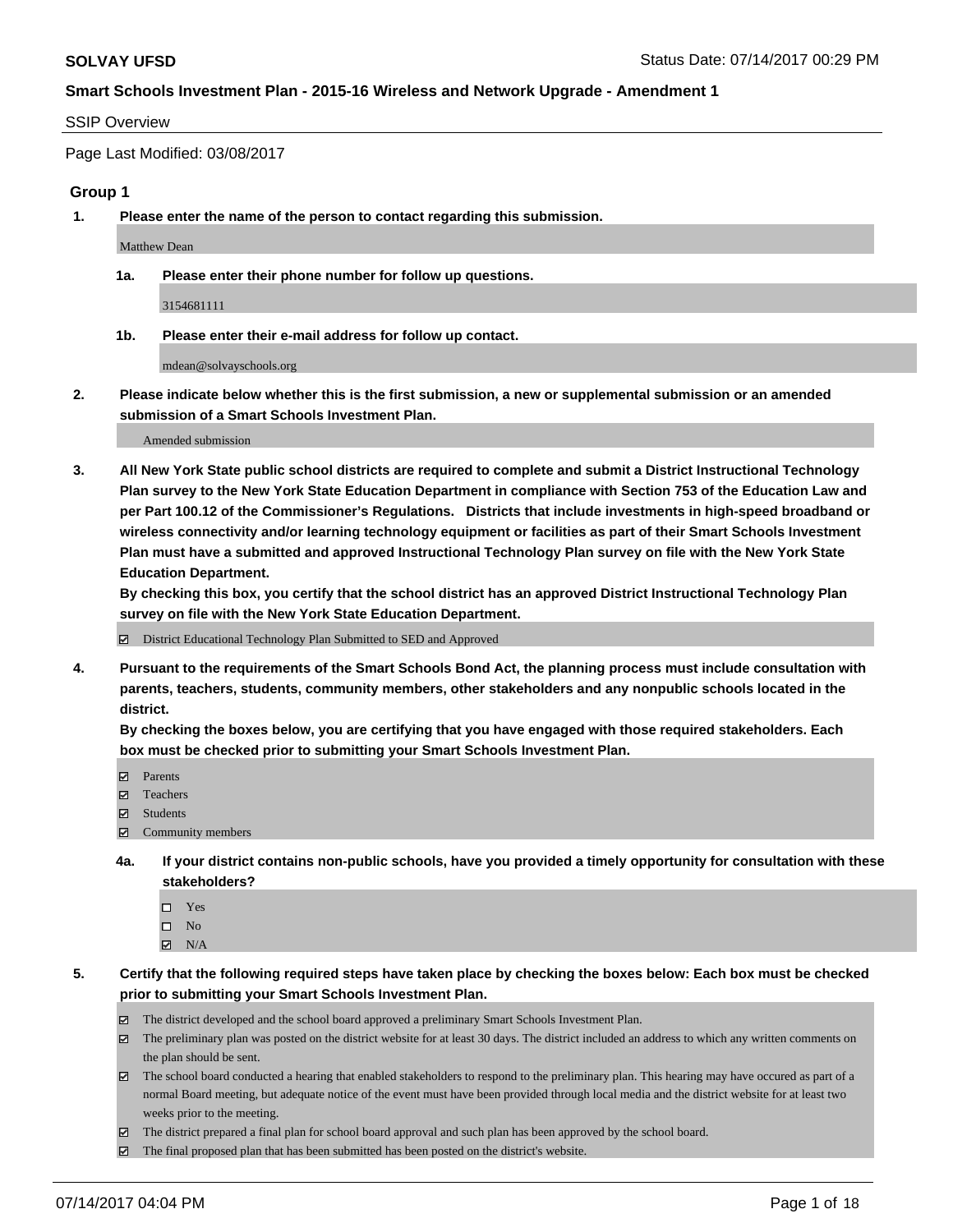#### SSIP Overview

Page Last Modified: 03/08/2017

# **Group 1**

**1. Please enter the name of the person to contact regarding this submission.**

Matthew Dean

**1a. Please enter their phone number for follow up questions.**

3154681111

**1b. Please enter their e-mail address for follow up contact.**

mdean@solvayschools.org

**2. Please indicate below whether this is the first submission, a new or supplemental submission or an amended submission of a Smart Schools Investment Plan.**

Amended submission

**3. All New York State public school districts are required to complete and submit a District Instructional Technology Plan survey to the New York State Education Department in compliance with Section 753 of the Education Law and per Part 100.12 of the Commissioner's Regulations. Districts that include investments in high-speed broadband or wireless connectivity and/or learning technology equipment or facilities as part of their Smart Schools Investment Plan must have a submitted and approved Instructional Technology Plan survey on file with the New York State Education Department.** 

**By checking this box, you certify that the school district has an approved District Instructional Technology Plan survey on file with the New York State Education Department.**

District Educational Technology Plan Submitted to SED and Approved

**4. Pursuant to the requirements of the Smart Schools Bond Act, the planning process must include consultation with parents, teachers, students, community members, other stakeholders and any nonpublic schools located in the district.** 

**By checking the boxes below, you are certifying that you have engaged with those required stakeholders. Each box must be checked prior to submitting your Smart Schools Investment Plan.**

- **マ** Parents
- **□** Teachers
- Students
- $\Xi$  Community members
- **4a. If your district contains non-public schools, have you provided a timely opportunity for consultation with these stakeholders?**
	- Yes
	- $\hfill \square$  No
	- $\boxtimes$  N/A
- **5. Certify that the following required steps have taken place by checking the boxes below: Each box must be checked prior to submitting your Smart Schools Investment Plan.**
	- The district developed and the school board approved a preliminary Smart Schools Investment Plan.
	- $\boxtimes$  The preliminary plan was posted on the district website for at least 30 days. The district included an address to which any written comments on the plan should be sent.
	- $\boxtimes$  The school board conducted a hearing that enabled stakeholders to respond to the preliminary plan. This hearing may have occured as part of a normal Board meeting, but adequate notice of the event must have been provided through local media and the district website for at least two weeks prior to the meeting.
	- The district prepared a final plan for school board approval and such plan has been approved by the school board.
	- The final proposed plan that has been submitted has been posted on the district's website.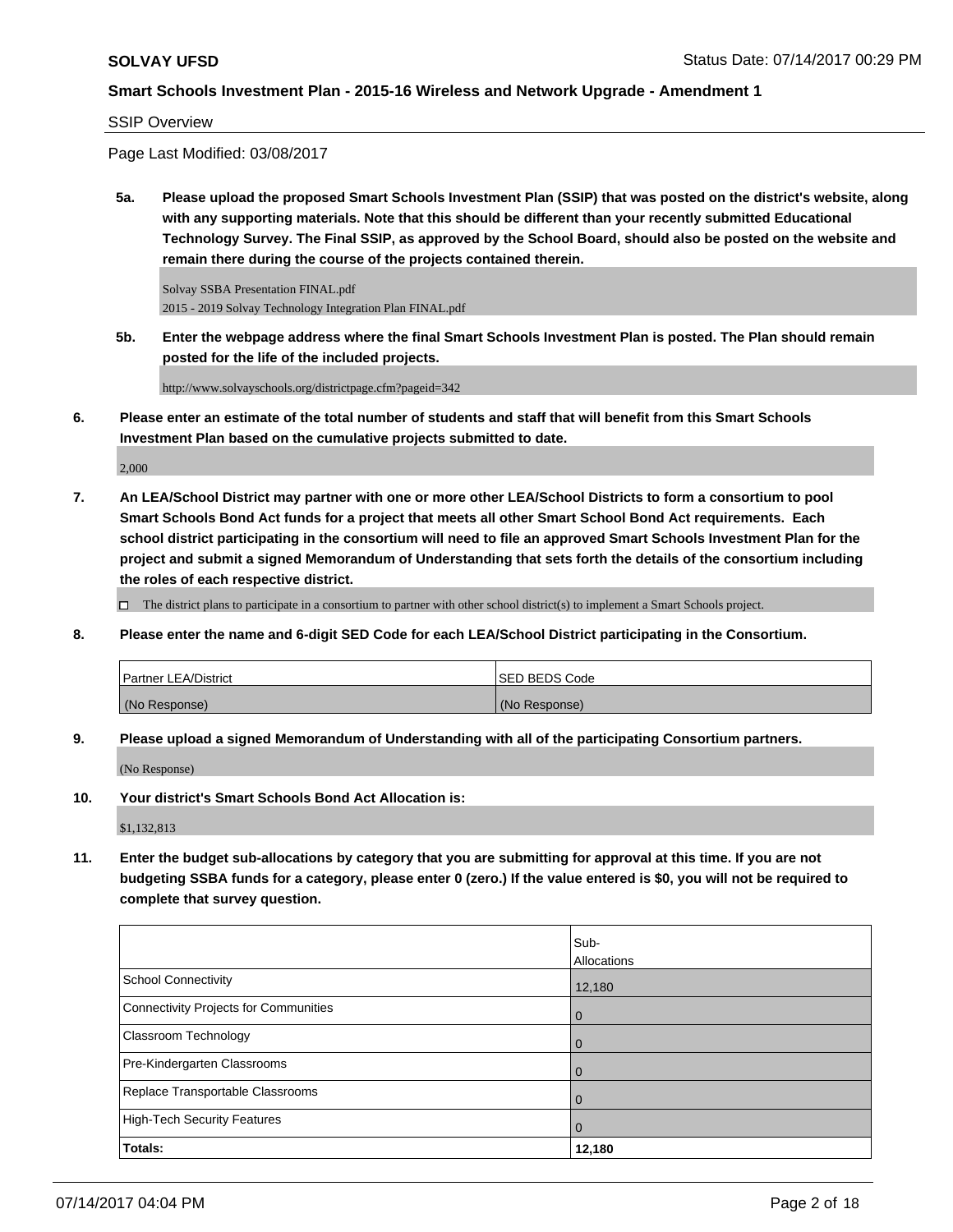SSIP Overview

Page Last Modified: 03/08/2017

**5a. Please upload the proposed Smart Schools Investment Plan (SSIP) that was posted on the district's website, along with any supporting materials. Note that this should be different than your recently submitted Educational Technology Survey. The Final SSIP, as approved by the School Board, should also be posted on the website and remain there during the course of the projects contained therein.**

Solvay SSBA Presentation FINAL.pdf 2015 - 2019 Solvay Technology Integration Plan FINAL.pdf

**5b. Enter the webpage address where the final Smart Schools Investment Plan is posted. The Plan should remain posted for the life of the included projects.**

http://www.solvayschools.org/districtpage.cfm?pageid=342

**6. Please enter an estimate of the total number of students and staff that will benefit from this Smart Schools Investment Plan based on the cumulative projects submitted to date.**

2,000

**7. An LEA/School District may partner with one or more other LEA/School Districts to form a consortium to pool Smart Schools Bond Act funds for a project that meets all other Smart School Bond Act requirements. Each school district participating in the consortium will need to file an approved Smart Schools Investment Plan for the project and submit a signed Memorandum of Understanding that sets forth the details of the consortium including the roles of each respective district.**

 $\Box$  The district plans to participate in a consortium to partner with other school district(s) to implement a Smart Schools project.

**8. Please enter the name and 6-digit SED Code for each LEA/School District participating in the Consortium.**

| <b>Partner LEA/District</b> | ISED BEDS Code |
|-----------------------------|----------------|
| (No Response)               | (No Response)  |

**9. Please upload a signed Memorandum of Understanding with all of the participating Consortium partners.**

(No Response)

**10. Your district's Smart Schools Bond Act Allocation is:**

\$1,132,813

**11. Enter the budget sub-allocations by category that you are submitting for approval at this time. If you are not budgeting SSBA funds for a category, please enter 0 (zero.) If the value entered is \$0, you will not be required to complete that survey question.**

|                                       | Sub-               |
|---------------------------------------|--------------------|
|                                       | <b>Allocations</b> |
| <b>School Connectivity</b>            | 12,180             |
| Connectivity Projects for Communities | $\overline{0}$     |
| <b>Classroom Technology</b>           | $\Omega$           |
| Pre-Kindergarten Classrooms           | $\overline{0}$     |
| Replace Transportable Classrooms      | $\Omega$           |
| High-Tech Security Features           | $\overline{0}$     |
| Totals:                               | 12,180             |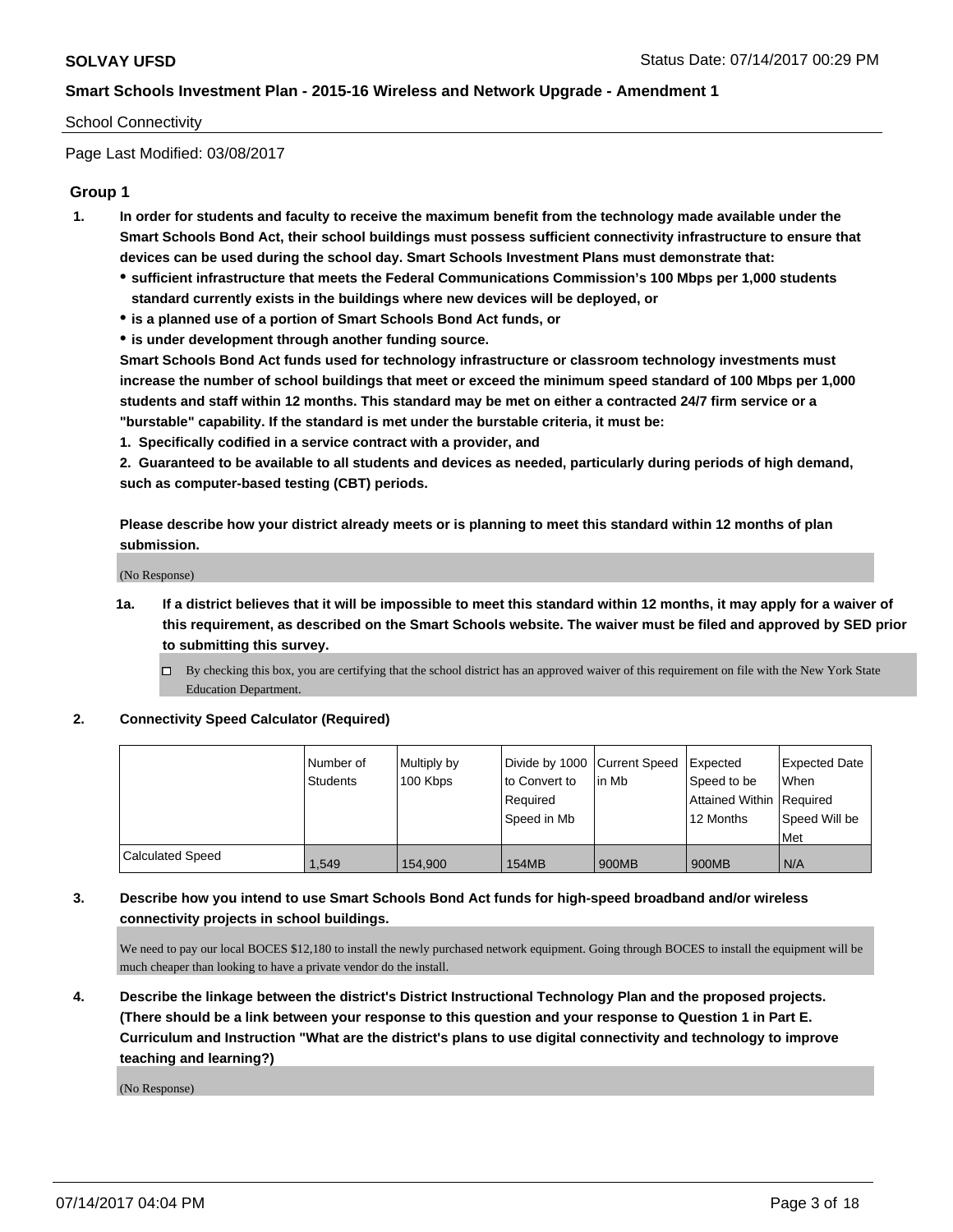#### School Connectivity

Page Last Modified: 03/08/2017

## **Group 1**

- **1. In order for students and faculty to receive the maximum benefit from the technology made available under the Smart Schools Bond Act, their school buildings must possess sufficient connectivity infrastructure to ensure that devices can be used during the school day. Smart Schools Investment Plans must demonstrate that:**
	- **sufficient infrastructure that meets the Federal Communications Commission's 100 Mbps per 1,000 students standard currently exists in the buildings where new devices will be deployed, or**
	- **is a planned use of a portion of Smart Schools Bond Act funds, or**
	- **is under development through another funding source.**

**Smart Schools Bond Act funds used for technology infrastructure or classroom technology investments must increase the number of school buildings that meet or exceed the minimum speed standard of 100 Mbps per 1,000 students and staff within 12 months. This standard may be met on either a contracted 24/7 firm service or a "burstable" capability. If the standard is met under the burstable criteria, it must be:**

**1. Specifically codified in a service contract with a provider, and**

**2. Guaranteed to be available to all students and devices as needed, particularly during periods of high demand, such as computer-based testing (CBT) periods.**

**Please describe how your district already meets or is planning to meet this standard within 12 months of plan submission.**

(No Response)

- **1a. If a district believes that it will be impossible to meet this standard within 12 months, it may apply for a waiver of this requirement, as described on the Smart Schools website. The waiver must be filed and approved by SED prior to submitting this survey.**
	- By checking this box, you are certifying that the school district has an approved waiver of this requirement on file with the New York State Education Department.

#### **2. Connectivity Speed Calculator (Required)**

|                         | Number of       | Multiply by | Divide by 1000 Current Speed |        | Expected                   | <b>Expected Date</b> |
|-------------------------|-----------------|-------------|------------------------------|--------|----------------------------|----------------------|
|                         | <b>Students</b> | 100 Kbps    | to Convert to                | lin Mb | Speed to be                | When                 |
|                         |                 |             | Required                     |        | Attained Within   Required |                      |
|                         |                 |             | Speed in Mb                  |        | 12 Months                  | Speed Will be        |
|                         |                 |             |                              |        |                            | Met                  |
| <b>Calculated Speed</b> | 1.549           | 154.900     | <b>154MB</b>                 | 900MB  | 900MB                      | N/A                  |

### **3. Describe how you intend to use Smart Schools Bond Act funds for high-speed broadband and/or wireless connectivity projects in school buildings.**

We need to pay our local BOCES \$12,180 to install the newly purchased network equipment. Going through BOCES to install the equipment will be much cheaper than looking to have a private vendor do the install.

**4. Describe the linkage between the district's District Instructional Technology Plan and the proposed projects. (There should be a link between your response to this question and your response to Question 1 in Part E. Curriculum and Instruction "What are the district's plans to use digital connectivity and technology to improve teaching and learning?)**

(No Response)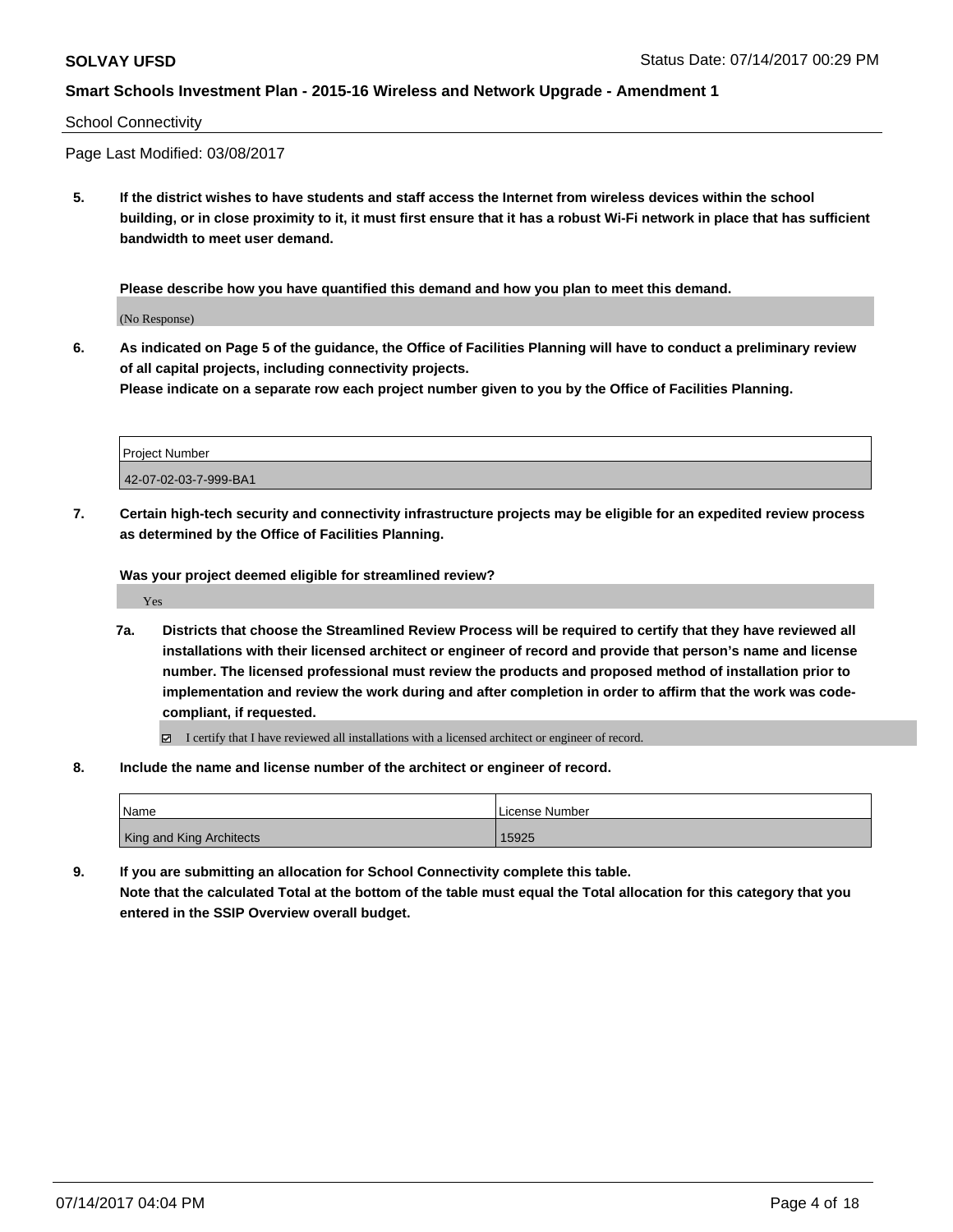#### School Connectivity

Page Last Modified: 03/08/2017

**5. If the district wishes to have students and staff access the Internet from wireless devices within the school building, or in close proximity to it, it must first ensure that it has a robust Wi-Fi network in place that has sufficient bandwidth to meet user demand.**

**Please describe how you have quantified this demand and how you plan to meet this demand.**

(No Response)

**6. As indicated on Page 5 of the guidance, the Office of Facilities Planning will have to conduct a preliminary review of all capital projects, including connectivity projects.**

**Please indicate on a separate row each project number given to you by the Office of Facilities Planning.**

| Project Number        |  |
|-----------------------|--|
| 42-07-02-03-7-999-BA1 |  |

**7. Certain high-tech security and connectivity infrastructure projects may be eligible for an expedited review process as determined by the Office of Facilities Planning.**

**Was your project deemed eligible for streamlined review?**

Yes

- **7a. Districts that choose the Streamlined Review Process will be required to certify that they have reviewed all installations with their licensed architect or engineer of record and provide that person's name and license number. The licensed professional must review the products and proposed method of installation prior to implementation and review the work during and after completion in order to affirm that the work was codecompliant, if requested.**
	- I certify that I have reviewed all installations with a licensed architect or engineer of record.
- **8. Include the name and license number of the architect or engineer of record.**

| 'Name                           | License Number |
|---------------------------------|----------------|
| <b>King and King Architects</b> | 15925          |

**9. If you are submitting an allocation for School Connectivity complete this table. Note that the calculated Total at the bottom of the table must equal the Total allocation for this category that you entered in the SSIP Overview overall budget.**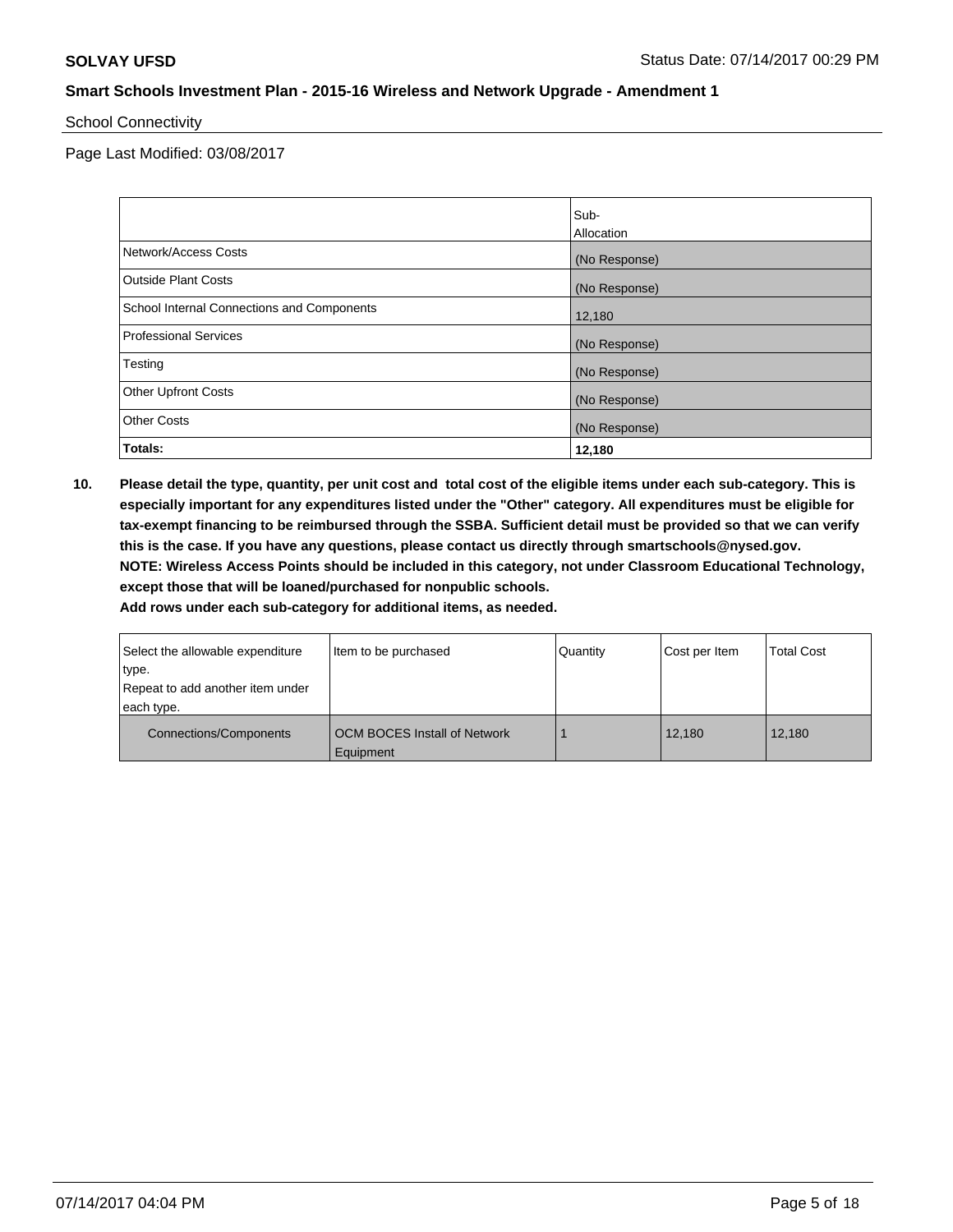#### School Connectivity

Page Last Modified: 03/08/2017

|                                            | Sub-          |
|--------------------------------------------|---------------|
|                                            | Allocation    |
| Network/Access Costs                       | (No Response) |
| <b>Outside Plant Costs</b>                 | (No Response) |
| School Internal Connections and Components | 12,180        |
| <b>Professional Services</b>               | (No Response) |
| Testing                                    | (No Response) |
| <b>Other Upfront Costs</b>                 | (No Response) |
| <b>Other Costs</b>                         | (No Response) |
| Totals:                                    | 12,180        |

**10. Please detail the type, quantity, per unit cost and total cost of the eligible items under each sub-category. This is especially important for any expenditures listed under the "Other" category. All expenditures must be eligible for tax-exempt financing to be reimbursed through the SSBA. Sufficient detail must be provided so that we can verify this is the case. If you have any questions, please contact us directly through smartschools@nysed.gov. NOTE: Wireless Access Points should be included in this category, not under Classroom Educational Technology, except those that will be loaned/purchased for nonpublic schools.**

| Select the allowable expenditure<br>type. | Item to be purchased                | Quantity | Cost per Item | <b>Total Cost</b> |
|-------------------------------------------|-------------------------------------|----------|---------------|-------------------|
| Repeat to add another item under          |                                     |          |               |                   |
|                                           |                                     |          |               |                   |
| each type.                                |                                     |          |               |                   |
| <b>Connections/Components</b>             | <b>OCM BOCES Install of Network</b> |          | 12,180        | 12.180            |
|                                           | Equipment                           |          |               |                   |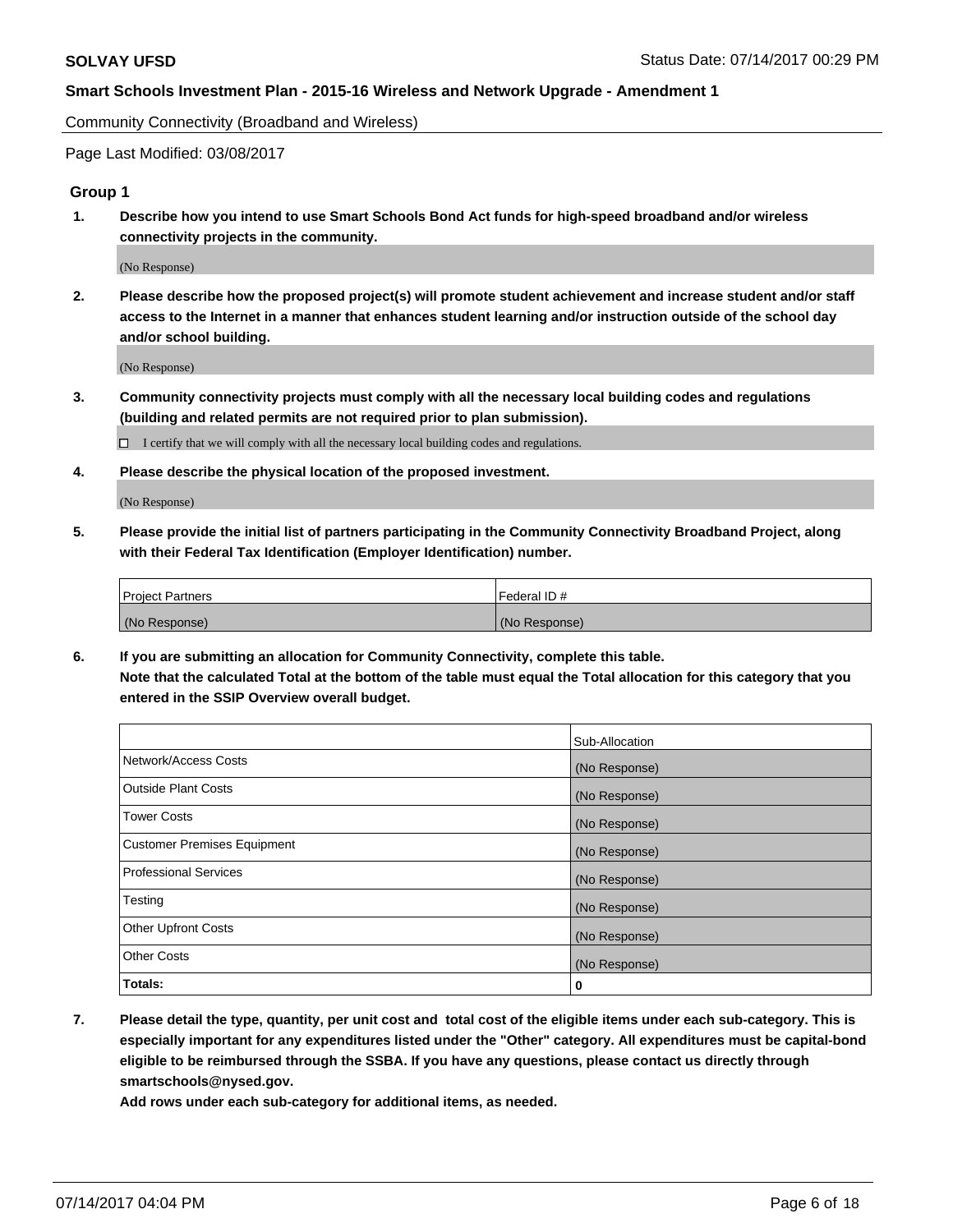Community Connectivity (Broadband and Wireless)

Page Last Modified: 03/08/2017

#### **Group 1**

**1. Describe how you intend to use Smart Schools Bond Act funds for high-speed broadband and/or wireless connectivity projects in the community.**

(No Response)

**2. Please describe how the proposed project(s) will promote student achievement and increase student and/or staff access to the Internet in a manner that enhances student learning and/or instruction outside of the school day and/or school building.**

(No Response)

**3. Community connectivity projects must comply with all the necessary local building codes and regulations (building and related permits are not required prior to plan submission).**

 $\Box$  I certify that we will comply with all the necessary local building codes and regulations.

**4. Please describe the physical location of the proposed investment.**

(No Response)

**5. Please provide the initial list of partners participating in the Community Connectivity Broadband Project, along with their Federal Tax Identification (Employer Identification) number.**

| <b>Project Partners</b> | Federal ID#     |
|-------------------------|-----------------|
| (No Response)           | l (No Response) |

**6. If you are submitting an allocation for Community Connectivity, complete this table. Note that the calculated Total at the bottom of the table must equal the Total allocation for this category that you entered in the SSIP Overview overall budget.**

|                                    | Sub-Allocation |
|------------------------------------|----------------|
| Network/Access Costs               | (No Response)  |
| Outside Plant Costs                | (No Response)  |
| <b>Tower Costs</b>                 | (No Response)  |
| <b>Customer Premises Equipment</b> | (No Response)  |
| <b>Professional Services</b>       | (No Response)  |
| Testing                            | (No Response)  |
| <b>Other Upfront Costs</b>         | (No Response)  |
| <b>Other Costs</b>                 | (No Response)  |
| Totals:                            | 0              |

**7. Please detail the type, quantity, per unit cost and total cost of the eligible items under each sub-category. This is especially important for any expenditures listed under the "Other" category. All expenditures must be capital-bond eligible to be reimbursed through the SSBA. If you have any questions, please contact us directly through smartschools@nysed.gov.**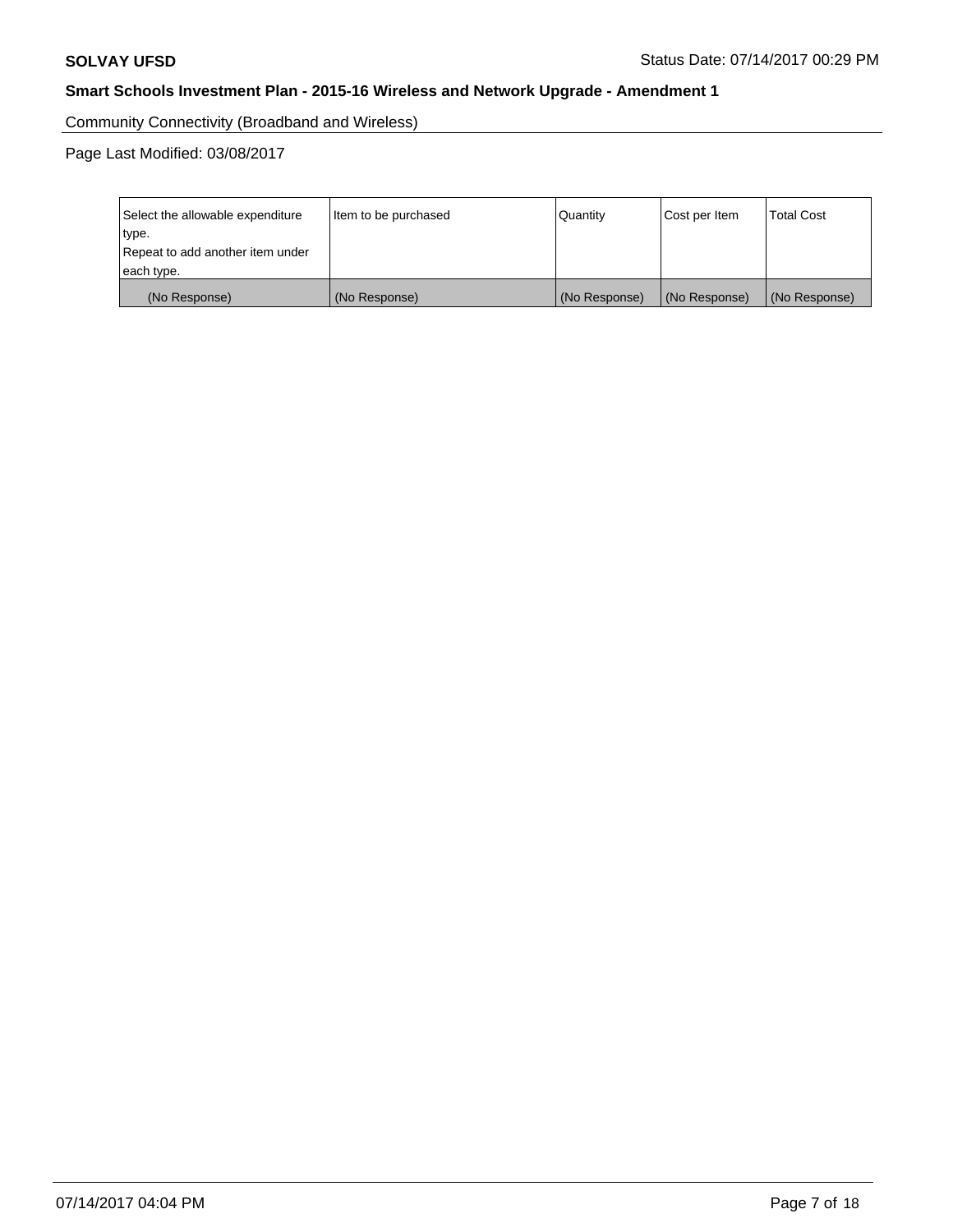Community Connectivity (Broadband and Wireless)

| Select the allowable expenditure<br>type.<br>Repeat to add another item under | Item to be purchased | Quantity      | Cost per Item | <b>Total Cost</b> |  |
|-------------------------------------------------------------------------------|----------------------|---------------|---------------|-------------------|--|
| each type.                                                                    |                      |               |               |                   |  |
| (No Response)                                                                 | (No Response)        | (No Response) | (No Response) | (No Response)     |  |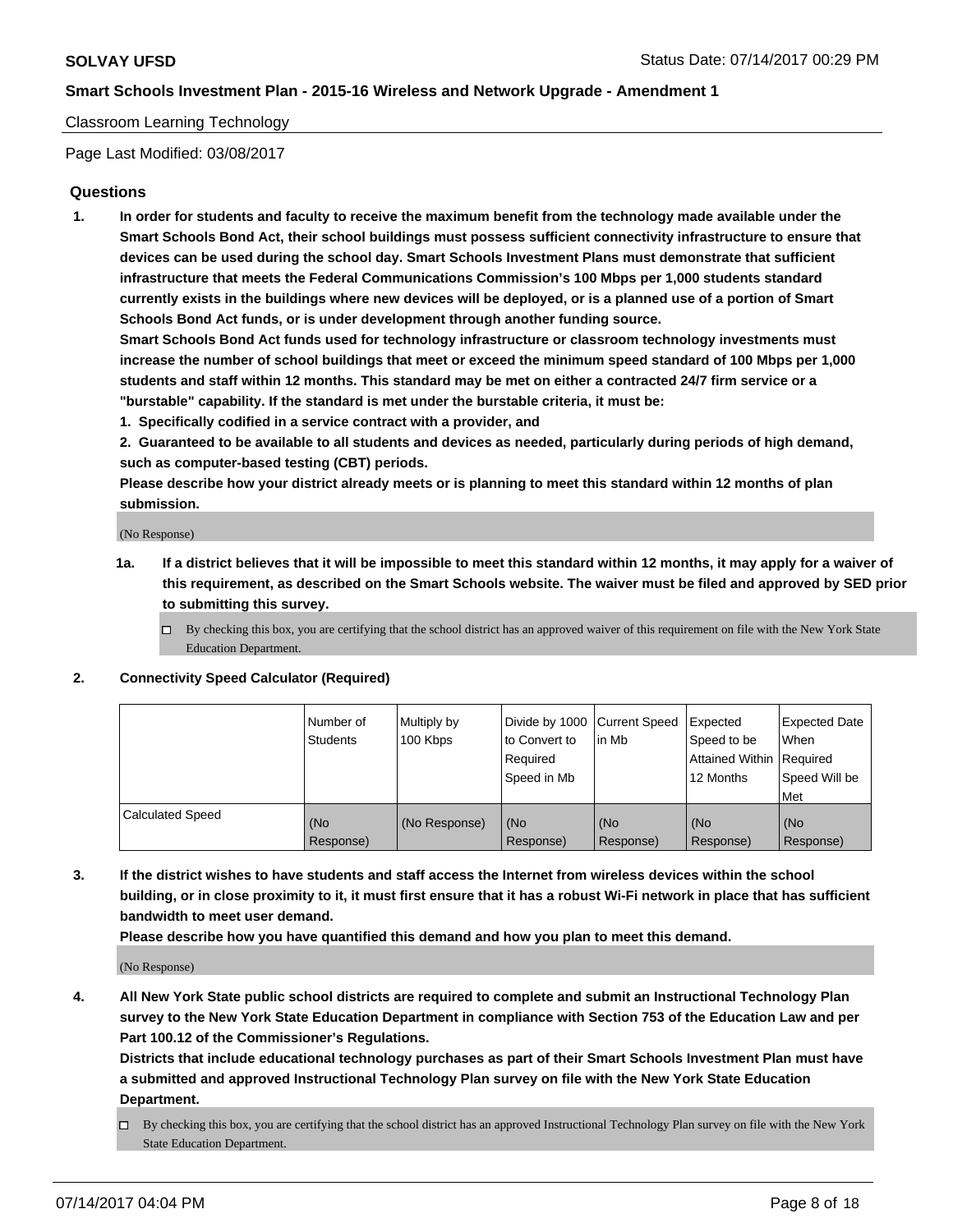#### Classroom Learning Technology

Page Last Modified: 03/08/2017

#### **Questions**

**1. In order for students and faculty to receive the maximum benefit from the technology made available under the Smart Schools Bond Act, their school buildings must possess sufficient connectivity infrastructure to ensure that devices can be used during the school day. Smart Schools Investment Plans must demonstrate that sufficient infrastructure that meets the Federal Communications Commission's 100 Mbps per 1,000 students standard currently exists in the buildings where new devices will be deployed, or is a planned use of a portion of Smart Schools Bond Act funds, or is under development through another funding source.**

**Smart Schools Bond Act funds used for technology infrastructure or classroom technology investments must increase the number of school buildings that meet or exceed the minimum speed standard of 100 Mbps per 1,000 students and staff within 12 months. This standard may be met on either a contracted 24/7 firm service or a "burstable" capability. If the standard is met under the burstable criteria, it must be:**

- **1. Specifically codified in a service contract with a provider, and**
- **2. Guaranteed to be available to all students and devices as needed, particularly during periods of high demand, such as computer-based testing (CBT) periods.**

**Please describe how your district already meets or is planning to meet this standard within 12 months of plan submission.**

(No Response)

- **1a. If a district believes that it will be impossible to meet this standard within 12 months, it may apply for a waiver of this requirement, as described on the Smart Schools website. The waiver must be filed and approved by SED prior to submitting this survey.**
	- $\Box$  By checking this box, you are certifying that the school district has an approved waiver of this requirement on file with the New York State Education Department.

#### **2. Connectivity Speed Calculator (Required)**

|                         | l Number of<br>Students | Multiply by<br>100 Kbps | Divide by 1000   Current Speed<br>to Convert to<br>Required<br>Speed in Mb | l in Mb          | Expected<br>Speed to be<br>Attained Within Required<br>12 Months | <b>Expected Date</b><br>When<br>Speed Will be<br>Met |
|-------------------------|-------------------------|-------------------------|----------------------------------------------------------------------------|------------------|------------------------------------------------------------------|------------------------------------------------------|
| <b>Calculated Speed</b> | (No<br>Response)        | (No Response)           | (No<br>Response)                                                           | (No<br>Response) | (No<br>Response)                                                 | (No<br>Response)                                     |

**3. If the district wishes to have students and staff access the Internet from wireless devices within the school building, or in close proximity to it, it must first ensure that it has a robust Wi-Fi network in place that has sufficient bandwidth to meet user demand.**

**Please describe how you have quantified this demand and how you plan to meet this demand.**

(No Response)

**4. All New York State public school districts are required to complete and submit an Instructional Technology Plan survey to the New York State Education Department in compliance with Section 753 of the Education Law and per Part 100.12 of the Commissioner's Regulations.**

**Districts that include educational technology purchases as part of their Smart Schools Investment Plan must have a submitted and approved Instructional Technology Plan survey on file with the New York State Education Department.**

 $\Box$  By checking this box, you are certifying that the school district has an approved Instructional Technology Plan survey on file with the New York State Education Department.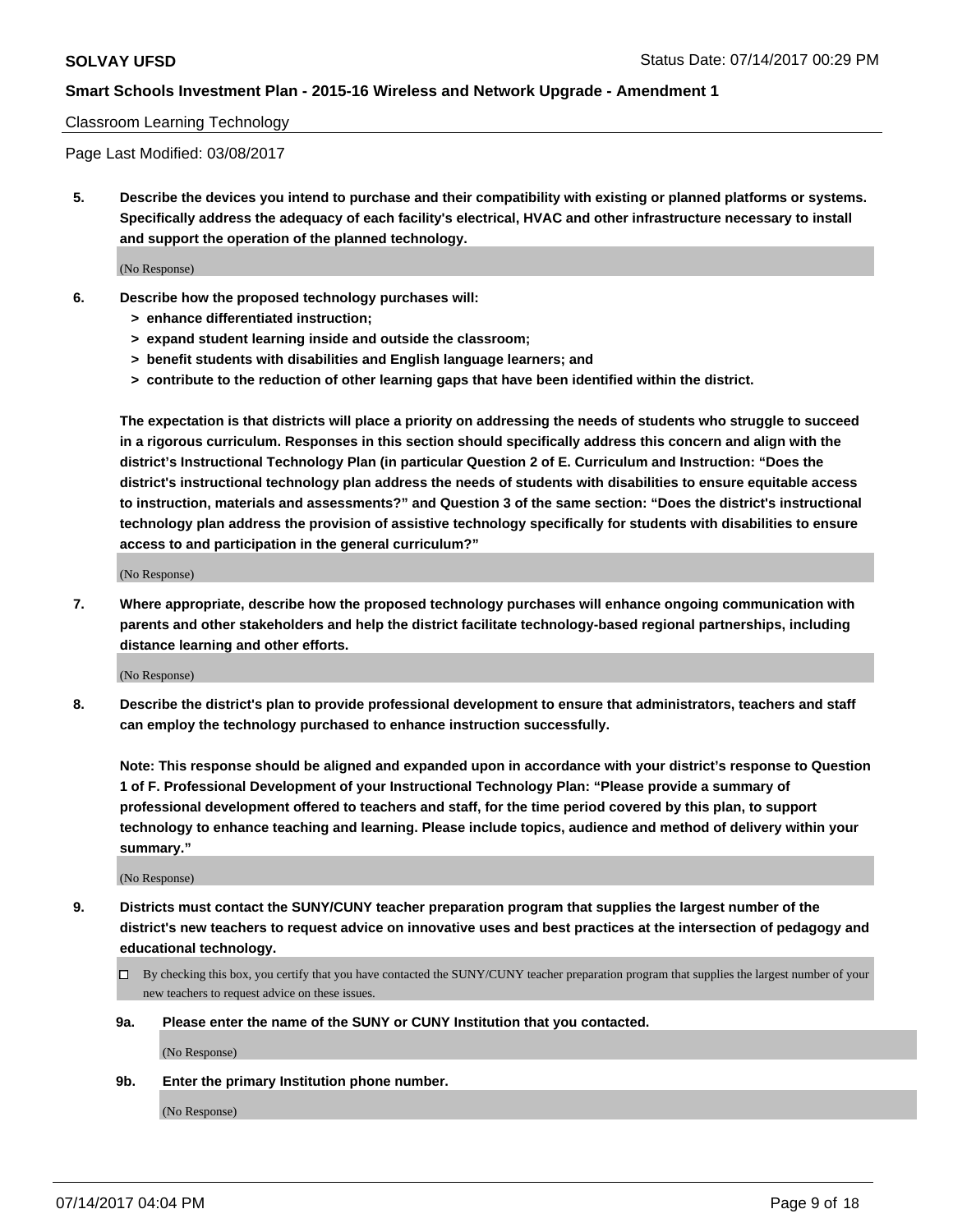#### Classroom Learning Technology

Page Last Modified: 03/08/2017

**5. Describe the devices you intend to purchase and their compatibility with existing or planned platforms or systems. Specifically address the adequacy of each facility's electrical, HVAC and other infrastructure necessary to install and support the operation of the planned technology.**

(No Response)

- **6. Describe how the proposed technology purchases will:**
	- **> enhance differentiated instruction;**
	- **> expand student learning inside and outside the classroom;**
	- **> benefit students with disabilities and English language learners; and**
	- **> contribute to the reduction of other learning gaps that have been identified within the district.**

**The expectation is that districts will place a priority on addressing the needs of students who struggle to succeed in a rigorous curriculum. Responses in this section should specifically address this concern and align with the district's Instructional Technology Plan (in particular Question 2 of E. Curriculum and Instruction: "Does the district's instructional technology plan address the needs of students with disabilities to ensure equitable access to instruction, materials and assessments?" and Question 3 of the same section: "Does the district's instructional technology plan address the provision of assistive technology specifically for students with disabilities to ensure access to and participation in the general curriculum?"**

(No Response)

**7. Where appropriate, describe how the proposed technology purchases will enhance ongoing communication with parents and other stakeholders and help the district facilitate technology-based regional partnerships, including distance learning and other efforts.**

(No Response)

**8. Describe the district's plan to provide professional development to ensure that administrators, teachers and staff can employ the technology purchased to enhance instruction successfully.**

**Note: This response should be aligned and expanded upon in accordance with your district's response to Question 1 of F. Professional Development of your Instructional Technology Plan: "Please provide a summary of professional development offered to teachers and staff, for the time period covered by this plan, to support technology to enhance teaching and learning. Please include topics, audience and method of delivery within your summary."**

(No Response)

- **9. Districts must contact the SUNY/CUNY teacher preparation program that supplies the largest number of the district's new teachers to request advice on innovative uses and best practices at the intersection of pedagogy and educational technology.**
	- By checking this box, you certify that you have contacted the SUNY/CUNY teacher preparation program that supplies the largest number of your new teachers to request advice on these issues.
	- **9a. Please enter the name of the SUNY or CUNY Institution that you contacted.**

(No Response)

**9b. Enter the primary Institution phone number.**

(No Response)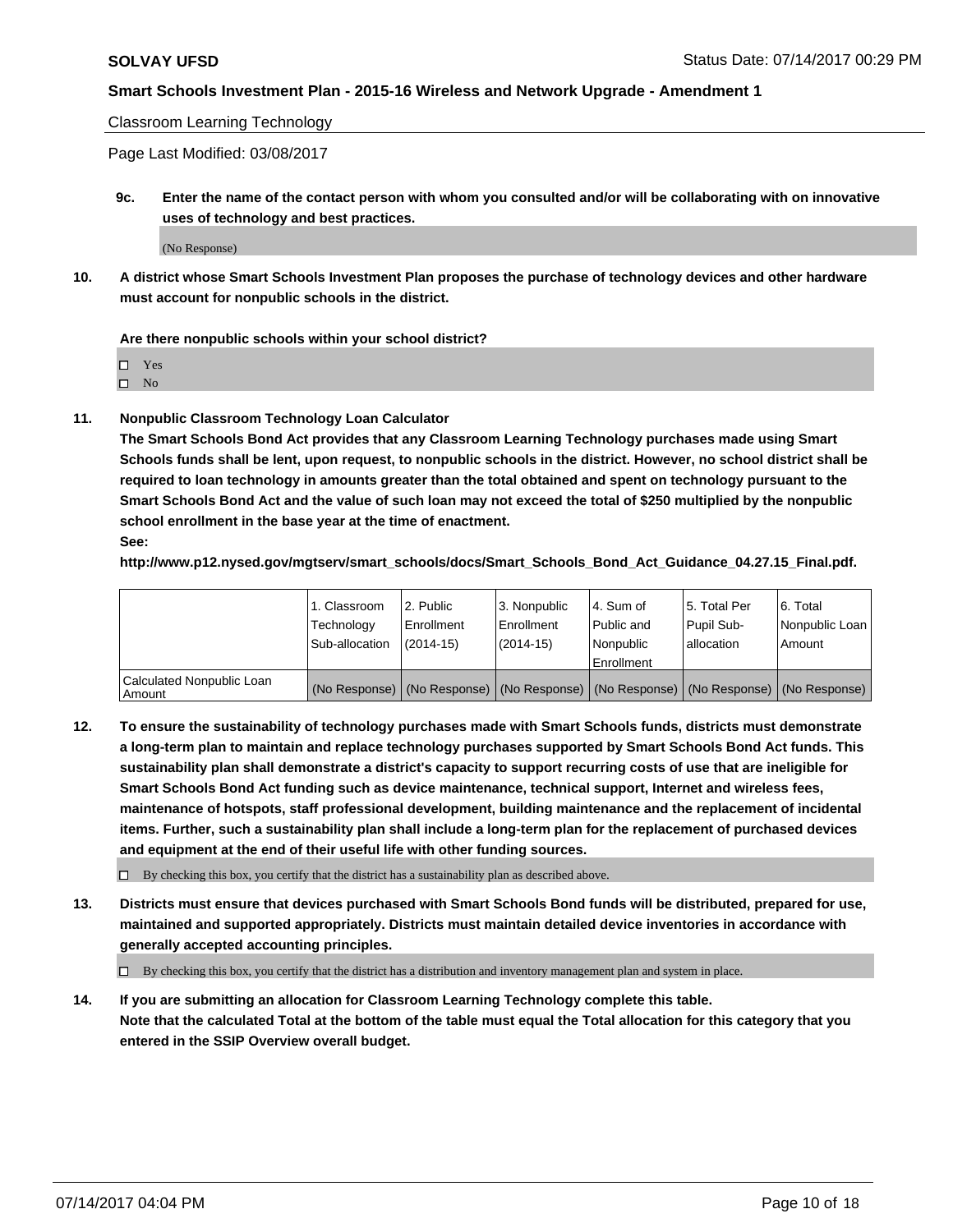Classroom Learning Technology

Page Last Modified: 03/08/2017

**9c. Enter the name of the contact person with whom you consulted and/or will be collaborating with on innovative uses of technology and best practices.**

(No Response)

**10. A district whose Smart Schools Investment Plan proposes the purchase of technology devices and other hardware must account for nonpublic schools in the district.**

**Are there nonpublic schools within your school district?**

Yes

 $\square$  No

**11. Nonpublic Classroom Technology Loan Calculator**

**The Smart Schools Bond Act provides that any Classroom Learning Technology purchases made using Smart Schools funds shall be lent, upon request, to nonpublic schools in the district. However, no school district shall be required to loan technology in amounts greater than the total obtained and spent on technology pursuant to the Smart Schools Bond Act and the value of such loan may not exceed the total of \$250 multiplied by the nonpublic school enrollment in the base year at the time of enactment.**

**See:**

**http://www.p12.nysed.gov/mgtserv/smart\_schools/docs/Smart\_Schools\_Bond\_Act\_Guidance\_04.27.15\_Final.pdf.**

|                                       | 1. Classroom   | l 2. Public   | 3. Nonpublic | l 4. Sum of | 15. Total Per                                                                                 | 6. Total       |
|---------------------------------------|----------------|---------------|--------------|-------------|-----------------------------------------------------------------------------------------------|----------------|
|                                       | Technology     | Enrollment    | Enrollment   | Public and  | Pupil Sub-                                                                                    | Nonpublic Loan |
|                                       | Sub-allocation | $(2014 - 15)$ | $(2014-15)$  | l Nonpublic | allocation                                                                                    | Amount         |
|                                       |                |               |              | Enrollment  |                                                                                               |                |
| Calculated Nonpublic Loan<br>  Amount |                |               |              |             | (No Response)   (No Response)   (No Response)   (No Response)   (No Response)   (No Response) |                |

**12. To ensure the sustainability of technology purchases made with Smart Schools funds, districts must demonstrate a long-term plan to maintain and replace technology purchases supported by Smart Schools Bond Act funds. This sustainability plan shall demonstrate a district's capacity to support recurring costs of use that are ineligible for Smart Schools Bond Act funding such as device maintenance, technical support, Internet and wireless fees, maintenance of hotspots, staff professional development, building maintenance and the replacement of incidental items. Further, such a sustainability plan shall include a long-term plan for the replacement of purchased devices and equipment at the end of their useful life with other funding sources.**

 $\Box$  By checking this box, you certify that the district has a sustainability plan as described above.

**13. Districts must ensure that devices purchased with Smart Schools Bond funds will be distributed, prepared for use, maintained and supported appropriately. Districts must maintain detailed device inventories in accordance with generally accepted accounting principles.**

By checking this box, you certify that the district has a distribution and inventory management plan and system in place.

**14. If you are submitting an allocation for Classroom Learning Technology complete this table. Note that the calculated Total at the bottom of the table must equal the Total allocation for this category that you entered in the SSIP Overview overall budget.**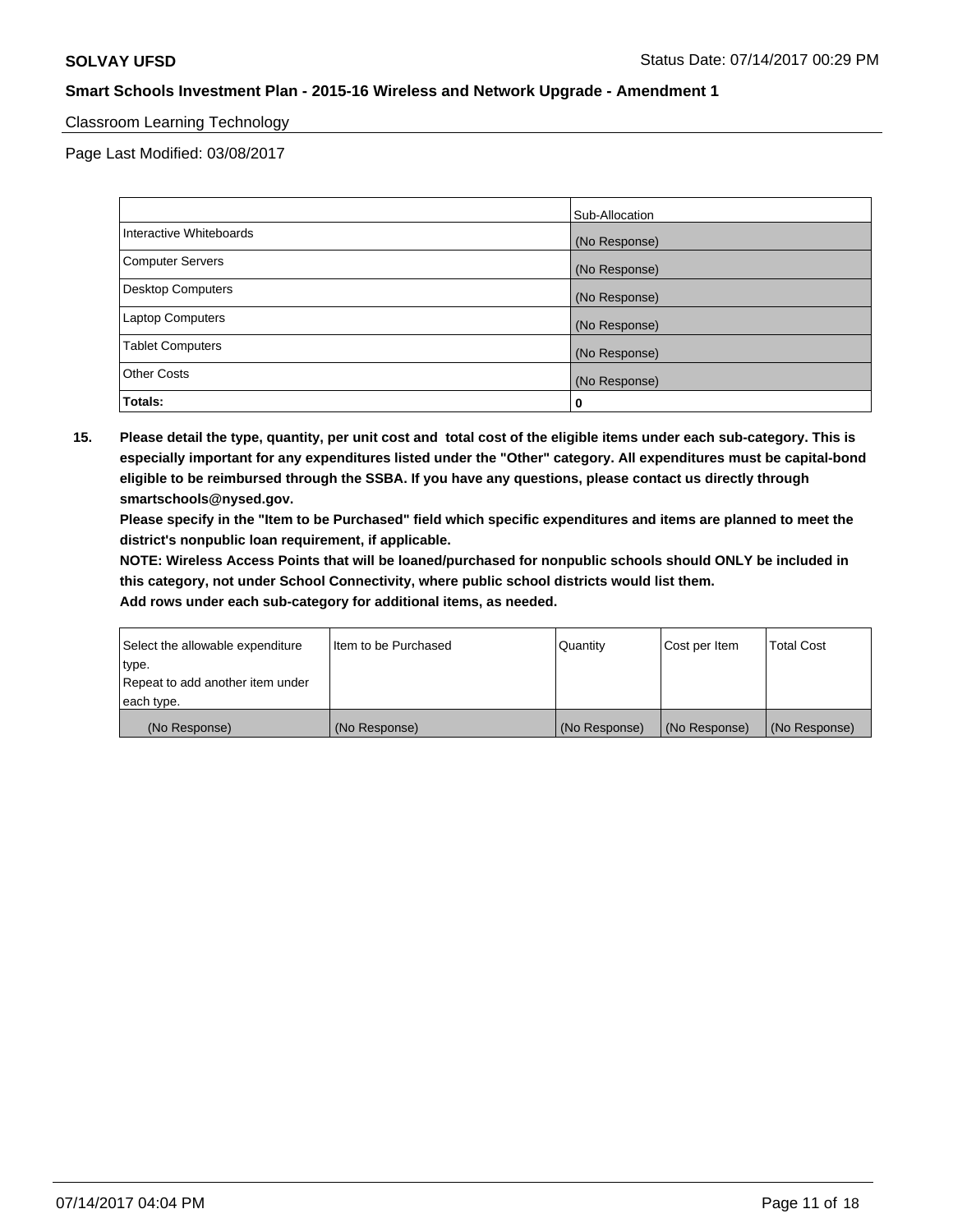# Classroom Learning Technology

Page Last Modified: 03/08/2017

|                         | Sub-Allocation |
|-------------------------|----------------|
| Interactive Whiteboards | (No Response)  |
| Computer Servers        | (No Response)  |
| Desktop Computers       | (No Response)  |
| Laptop Computers        | (No Response)  |
| <b>Tablet Computers</b> | (No Response)  |
| <b>Other Costs</b>      | (No Response)  |
| Totals:                 | 0              |

**15. Please detail the type, quantity, per unit cost and total cost of the eligible items under each sub-category. This is especially important for any expenditures listed under the "Other" category. All expenditures must be capital-bond eligible to be reimbursed through the SSBA. If you have any questions, please contact us directly through smartschools@nysed.gov.**

**Please specify in the "Item to be Purchased" field which specific expenditures and items are planned to meet the district's nonpublic loan requirement, if applicable.**

**NOTE: Wireless Access Points that will be loaned/purchased for nonpublic schools should ONLY be included in this category, not under School Connectivity, where public school districts would list them.**

| (No Response)                    | (No Response)        | (No Response) | (No Response) | (No Response)     |
|----------------------------------|----------------------|---------------|---------------|-------------------|
| each type.                       |                      |               |               |                   |
| Repeat to add another item under |                      |               |               |                   |
| ∣type.                           |                      |               |               |                   |
| Select the allowable expenditure | Item to be Purchased | Quantity      | Cost per Item | <b>Total Cost</b> |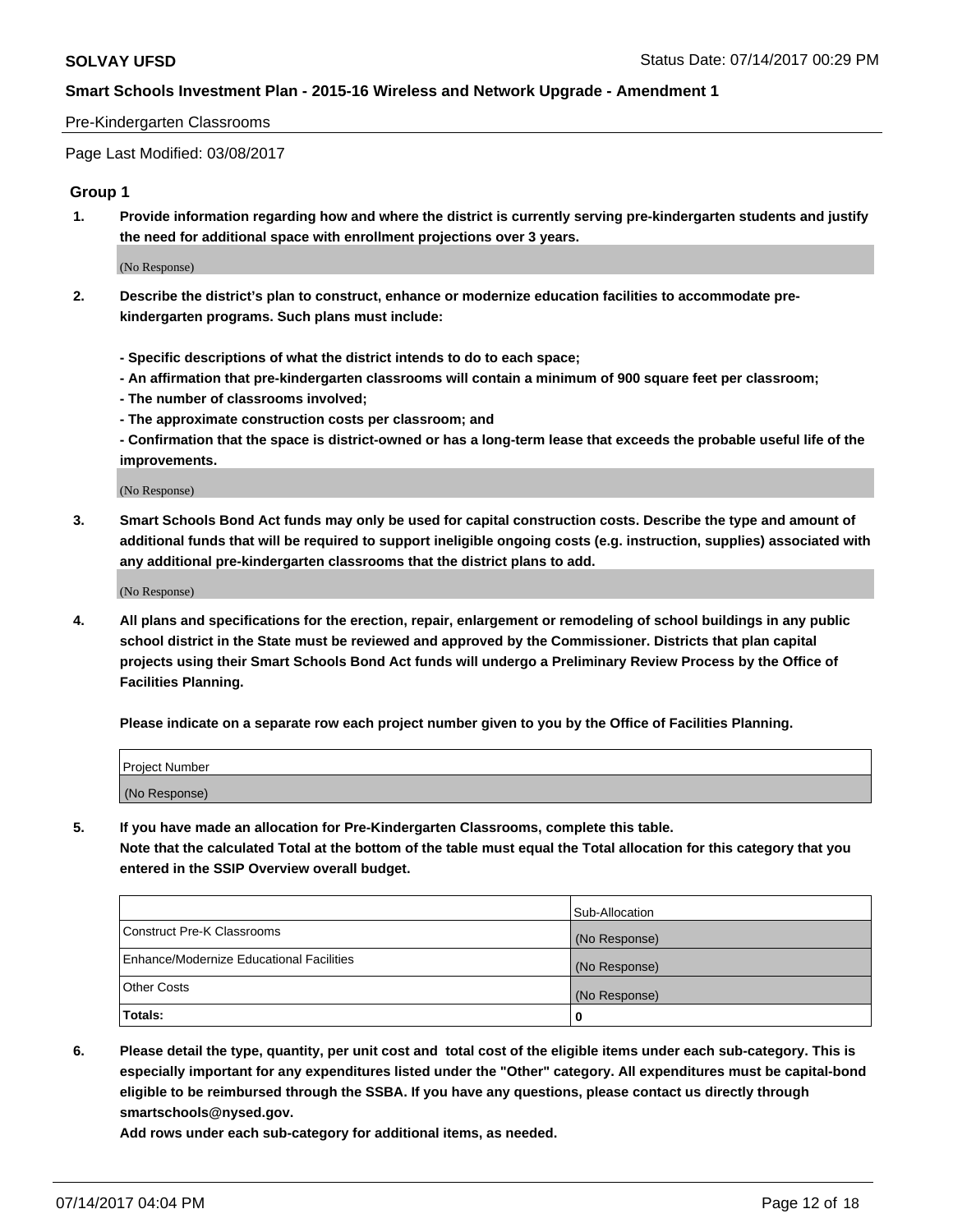#### Pre-Kindergarten Classrooms

Page Last Modified: 03/08/2017

#### **Group 1**

**1. Provide information regarding how and where the district is currently serving pre-kindergarten students and justify the need for additional space with enrollment projections over 3 years.**

(No Response)

- **2. Describe the district's plan to construct, enhance or modernize education facilities to accommodate prekindergarten programs. Such plans must include:**
	- **Specific descriptions of what the district intends to do to each space;**
	- **An affirmation that pre-kindergarten classrooms will contain a minimum of 900 square feet per classroom;**
	- **The number of classrooms involved;**
	- **The approximate construction costs per classroom; and**
	- **Confirmation that the space is district-owned or has a long-term lease that exceeds the probable useful life of the improvements.**

(No Response)

**3. Smart Schools Bond Act funds may only be used for capital construction costs. Describe the type and amount of additional funds that will be required to support ineligible ongoing costs (e.g. instruction, supplies) associated with any additional pre-kindergarten classrooms that the district plans to add.**

(No Response)

**4. All plans and specifications for the erection, repair, enlargement or remodeling of school buildings in any public school district in the State must be reviewed and approved by the Commissioner. Districts that plan capital projects using their Smart Schools Bond Act funds will undergo a Preliminary Review Process by the Office of Facilities Planning.**

**Please indicate on a separate row each project number given to you by the Office of Facilities Planning.**

| Project Number |  |
|----------------|--|
| (No Response)  |  |

**5. If you have made an allocation for Pre-Kindergarten Classrooms, complete this table. Note that the calculated Total at the bottom of the table must equal the Total allocation for this category that you entered in the SSIP Overview overall budget.**

| Totals:                                  | 0              |
|------------------------------------------|----------------|
| Other Costs                              | (No Response)  |
| Enhance/Modernize Educational Facilities | (No Response)  |
| Construct Pre-K Classrooms               | (No Response)  |
|                                          | Sub-Allocation |

**6. Please detail the type, quantity, per unit cost and total cost of the eligible items under each sub-category. This is especially important for any expenditures listed under the "Other" category. All expenditures must be capital-bond eligible to be reimbursed through the SSBA. If you have any questions, please contact us directly through smartschools@nysed.gov.**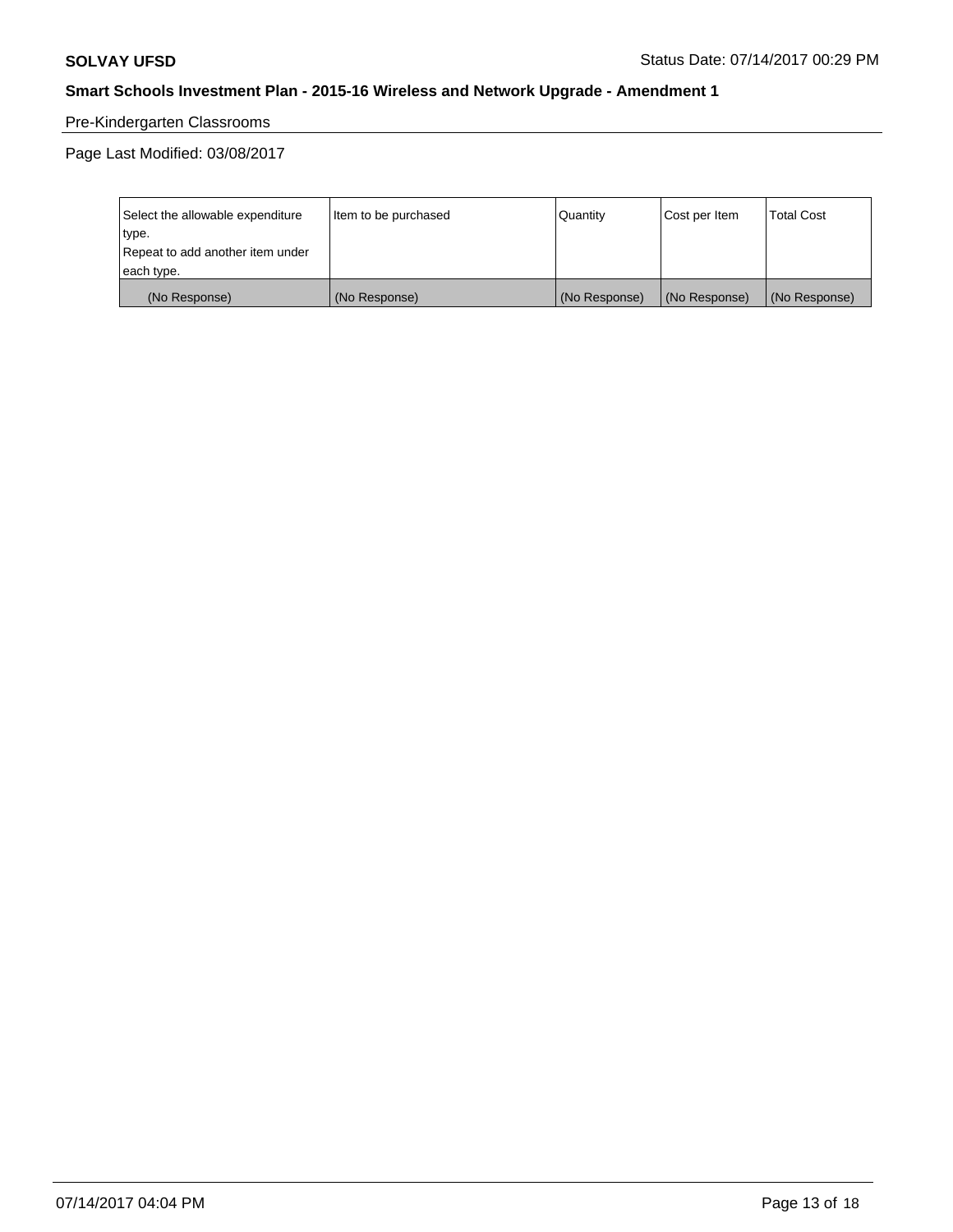# Pre-Kindergarten Classrooms

| Select the allowable expenditure | Item to be purchased | Quantity      | Cost per Item | <b>Total Cost</b> |
|----------------------------------|----------------------|---------------|---------------|-------------------|
| type.                            |                      |               |               |                   |
| Repeat to add another item under |                      |               |               |                   |
| each type.                       |                      |               |               |                   |
| (No Response)                    | (No Response)        | (No Response) | (No Response) | (No Response)     |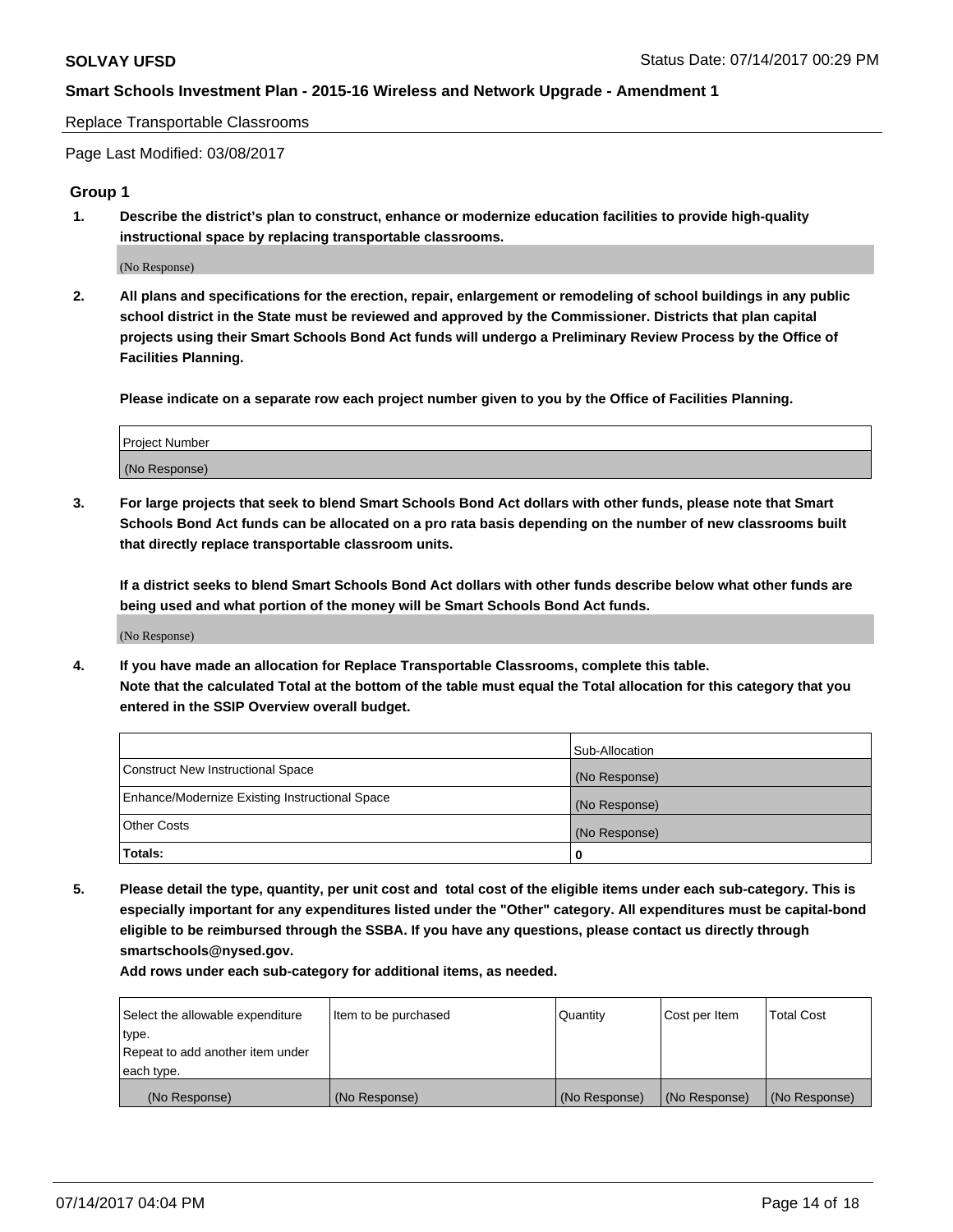#### Replace Transportable Classrooms

Page Last Modified: 03/08/2017

#### **Group 1**

**1. Describe the district's plan to construct, enhance or modernize education facilities to provide high-quality instructional space by replacing transportable classrooms.**

(No Response)

**2. All plans and specifications for the erection, repair, enlargement or remodeling of school buildings in any public school district in the State must be reviewed and approved by the Commissioner. Districts that plan capital projects using their Smart Schools Bond Act funds will undergo a Preliminary Review Process by the Office of Facilities Planning.**

**Please indicate on a separate row each project number given to you by the Office of Facilities Planning.**

| Project Number |  |
|----------------|--|
| (No Response)  |  |

**3. For large projects that seek to blend Smart Schools Bond Act dollars with other funds, please note that Smart Schools Bond Act funds can be allocated on a pro rata basis depending on the number of new classrooms built that directly replace transportable classroom units.**

**If a district seeks to blend Smart Schools Bond Act dollars with other funds describe below what other funds are being used and what portion of the money will be Smart Schools Bond Act funds.**

(No Response)

**4. If you have made an allocation for Replace Transportable Classrooms, complete this table. Note that the calculated Total at the bottom of the table must equal the Total allocation for this category that you entered in the SSIP Overview overall budget.**

|                                                | Sub-Allocation |
|------------------------------------------------|----------------|
| Construct New Instructional Space              | (No Response)  |
| Enhance/Modernize Existing Instructional Space | (No Response)  |
| Other Costs                                    | (No Response)  |
| Totals:                                        | $\Omega$       |

**5. Please detail the type, quantity, per unit cost and total cost of the eligible items under each sub-category. This is especially important for any expenditures listed under the "Other" category. All expenditures must be capital-bond eligible to be reimbursed through the SSBA. If you have any questions, please contact us directly through smartschools@nysed.gov.**

| Select the allowable expenditure | Item to be purchased | Quantity      | Cost per Item | <b>Total Cost</b> |
|----------------------------------|----------------------|---------------|---------------|-------------------|
| type.                            |                      |               |               |                   |
| Repeat to add another item under |                      |               |               |                   |
| each type.                       |                      |               |               |                   |
| (No Response)                    | (No Response)        | (No Response) | (No Response) | (No Response)     |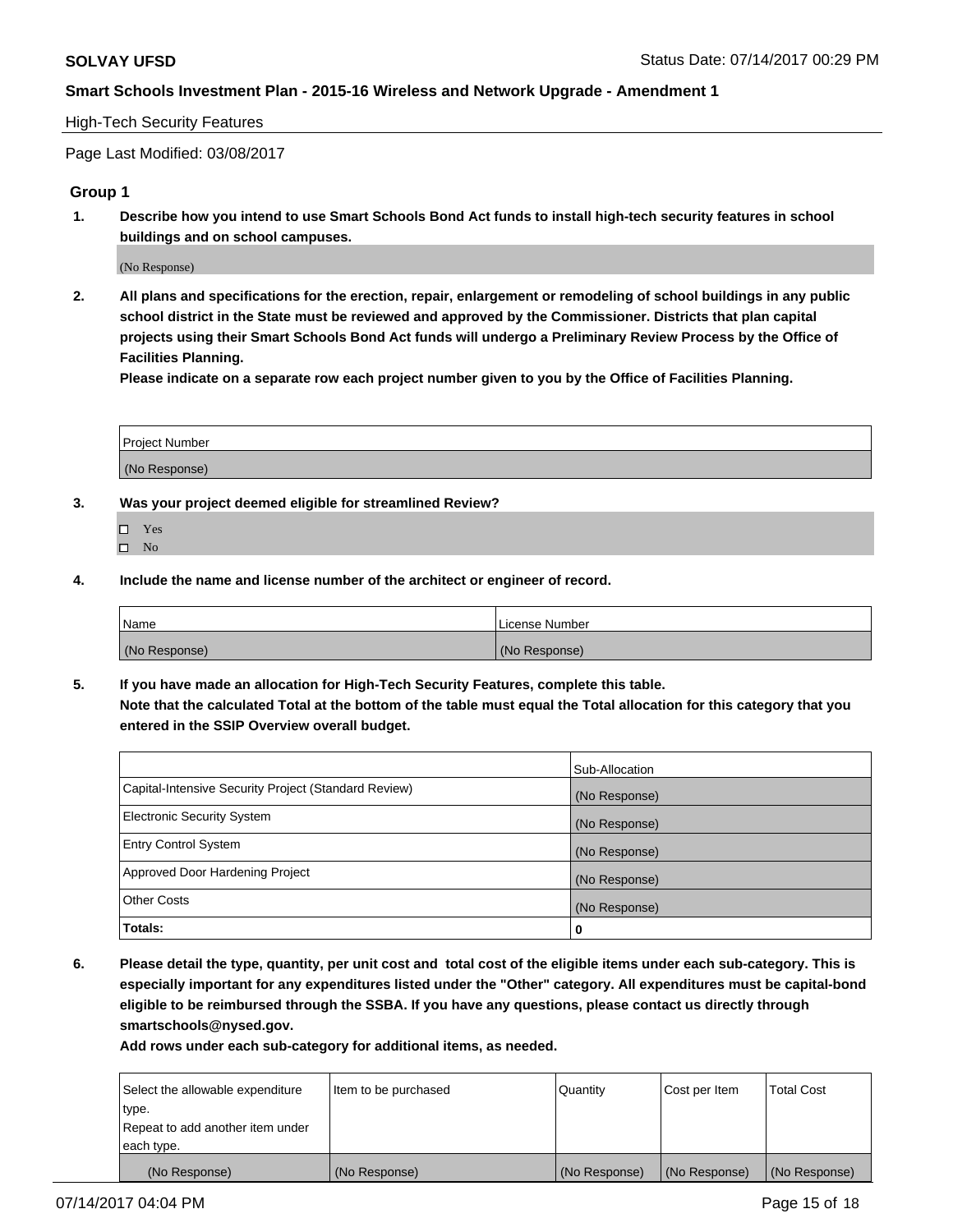#### High-Tech Security Features

Page Last Modified: 03/08/2017

## **Group 1**

**1. Describe how you intend to use Smart Schools Bond Act funds to install high-tech security features in school buildings and on school campuses.**

(No Response)

**2. All plans and specifications for the erection, repair, enlargement or remodeling of school buildings in any public school district in the State must be reviewed and approved by the Commissioner. Districts that plan capital projects using their Smart Schools Bond Act funds will undergo a Preliminary Review Process by the Office of Facilities Planning.** 

**Please indicate on a separate row each project number given to you by the Office of Facilities Planning.**

| Project Number |  |
|----------------|--|
|                |  |
| (No Response)  |  |

- **3. Was your project deemed eligible for streamlined Review?**
	- Yes  $\hfill \square$  No
- **4. Include the name and license number of the architect or engineer of record.**

| Name          | l License Number |
|---------------|------------------|
| (No Response) | (No Response)    |

**5. If you have made an allocation for High-Tech Security Features, complete this table. Note that the calculated Total at the bottom of the table must equal the Total allocation for this category that you entered in the SSIP Overview overall budget.**

|                                                      | Sub-Allocation |
|------------------------------------------------------|----------------|
| Capital-Intensive Security Project (Standard Review) | (No Response)  |
| Electronic Security System                           | (No Response)  |
| <b>Entry Control System</b>                          | (No Response)  |
| Approved Door Hardening Project                      | (No Response)  |
| <b>Other Costs</b>                                   | (No Response)  |
| Totals:                                              | 0              |

**6. Please detail the type, quantity, per unit cost and total cost of the eligible items under each sub-category. This is especially important for any expenditures listed under the "Other" category. All expenditures must be capital-bond eligible to be reimbursed through the SSBA. If you have any questions, please contact us directly through smartschools@nysed.gov.**

| (No Response)                    | (No Response)        | (No Response) | (No Response) | (No Response)     |
|----------------------------------|----------------------|---------------|---------------|-------------------|
| each type.                       |                      |               |               |                   |
| Repeat to add another item under |                      |               |               |                   |
| type.                            |                      |               |               |                   |
| Select the allowable expenditure | Item to be purchased | Quantity      | Cost per Item | <b>Total Cost</b> |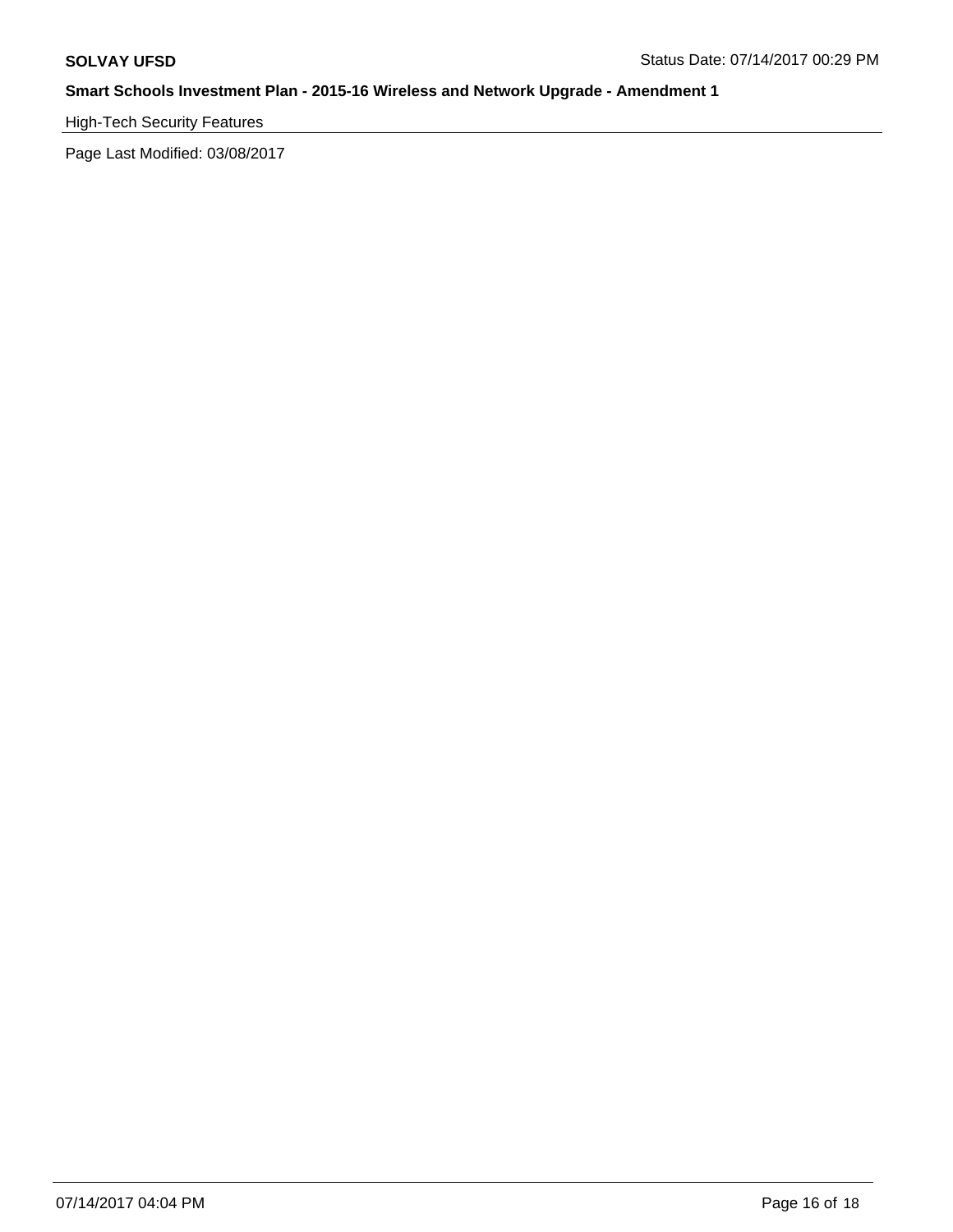# High-Tech Security Features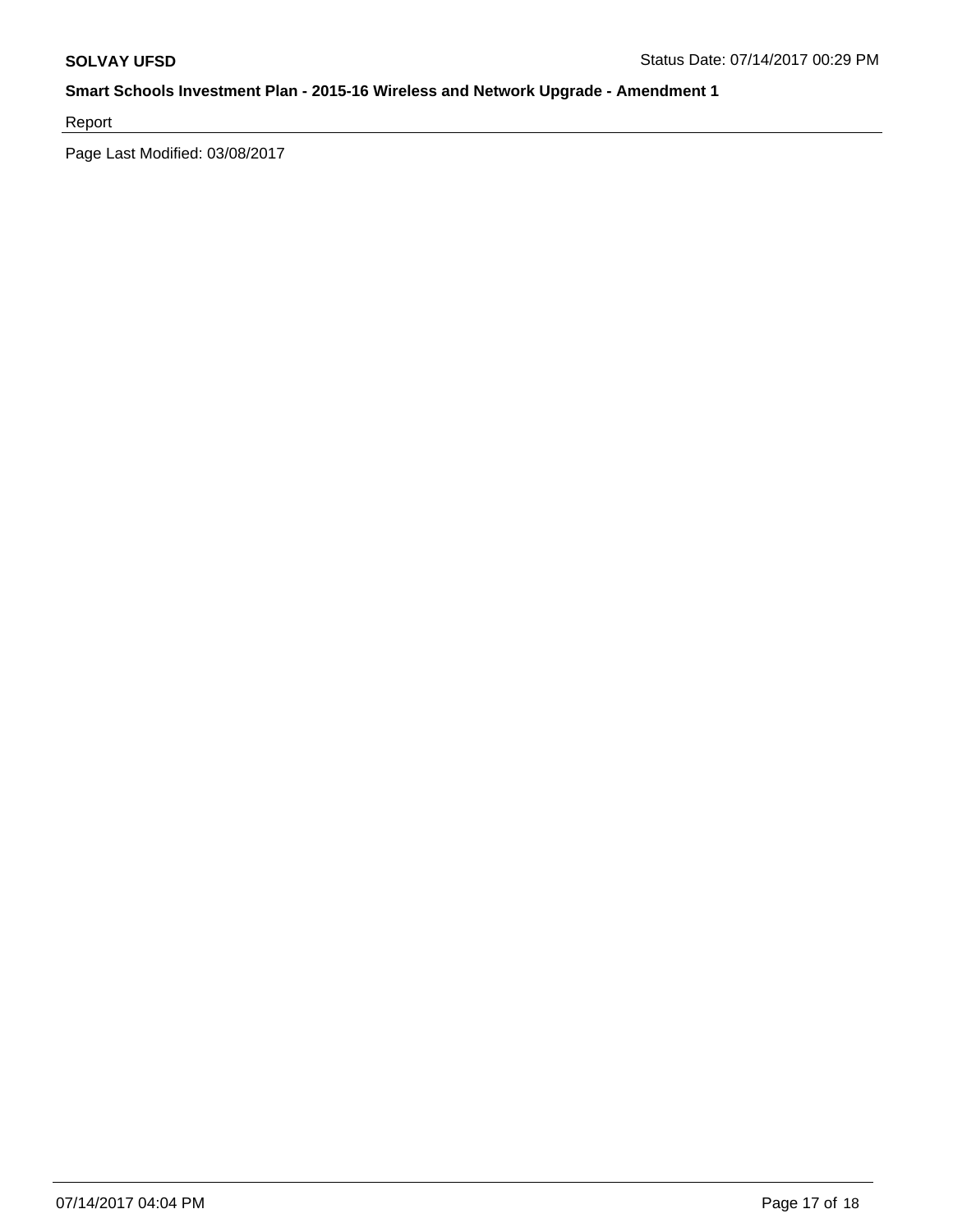Report